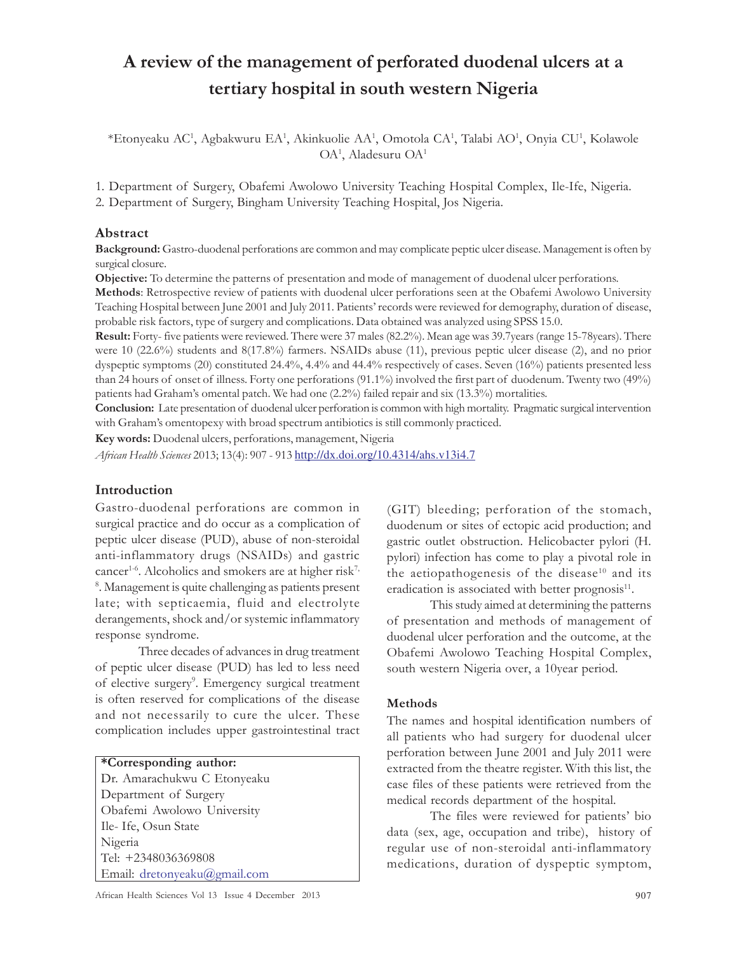# A review of the management of perforated duodenal ulcers at a tertiary hospital in south western Nigeria

\*Etonyeaku AC<sup>1</sup>, Agbakwuru EA<sup>1</sup>, Akinkuolie AA<sup>1</sup>, Omotola CA<sup>1</sup>, Talabi AO<sup>1</sup>, Onyia CU<sup>1</sup>, Kolawole OA<sup>1</sup> , Aladesuru OA<sup>1</sup>

1. Department of Surgery, Obafemi Awolowo University Teaching Hospital Complex, Ile-Ife, Nigeria.

2. Department of Surgery, Bingham University Teaching Hospital, Jos Nigeria.

## Abstract

Background: Gastro-duodenal perforations are common and may complicate peptic ulcer disease. Management is often by surgical closure.

Objective: To determine the patterns of presentation and mode of management of duodenal ulcer perforations.

Methods: Retrospective review of patients with duodenal ulcer perforations seen at the Obafemi Awolowo University Teaching Hospital between June 2001 and July 2011. Patients' records were reviewed for demography, duration of disease, probable risk factors, type of surgery and complications. Data obtained was analyzed using SPSS 15.0.

Result: Forty- five patients were reviewed. There were 37 males (82.2%). Mean age was 39.7years (range 15-78years). There were 10 (22.6%) students and 8(17.8%) farmers. NSAIDs abuse (11), previous peptic ulcer disease (2), and no prior dyspeptic symptoms (20) constituted 24.4%, 4.4% and 44.4% respectively of cases. Seven (16%) patients presented less than 24 hours of onset of illness. Forty one perforations (91.1%) involved the first part of duodenum. Twenty two (49%) patients had Graham's omental patch. We had one (2.2%) failed repair and six (13.3%) mortalities.

Conclusion: Late presentation of duodenal ulcer perforation is common with high mortality. Pragmatic surgical intervention with Graham's omentopexy with broad spectrum antibiotics is still commonly practiced.

Key words: Duodenal ulcers, perforations, management, Nigeria

African Health Sciences 2013; 13(4): 907 - 913 http://dx.doi.org/10.4314/ahs.v13i4.7

#### Introduction

Gastro-duodenal perforations are common in surgical practice and do occur as a complication of peptic ulcer disease (PUD), abuse of non-steroidal anti-inflammatory drugs (NSAIDs) and gastric cancer<sup>1-6</sup>. Alcoholics and smokers are at higher risk<sup>7,</sup> 8 . Management is quite challenging as patients present late; with septicaemia, fluid and electrolyte derangements, shock and/or systemic inflammatory response syndrome.

Three decades of advances in drug treatment of peptic ulcer disease (PUD) has led to less need of elective surgery<sup>9</sup>. Emergency surgical treatment is often reserved for complications of the disease and not necessarily to cure the ulcer. These complication includes upper gastrointestinal tract

# \*Corresponding author:

Dr. Amarachukwu C Etonyeaku Department of Surgery Obafemi Awolowo University Ile- Ife, Osun State Nigeria Tel: +2348036369808 Email: dretonyeaku@gmail.com

African Health Sciences Vol 13 Issue 4 December 2013 907

(GIT) bleeding; perforation of the stomach, duodenum or sites of ectopic acid production; and gastric outlet obstruction. Helicobacter pylori (H. pylori) infection has come to play a pivotal role in the aetiopathogenesis of the disease $10$  and its eradication is associated with better prognosis<sup>11</sup>.

This study aimed at determining the patterns of presentation and methods of management of duodenal ulcer perforation and the outcome, at the Obafemi Awolowo Teaching Hospital Complex, south western Nigeria over, a 10year period.

#### Methods

The names and hospital identification numbers of all patients who had surgery for duodenal ulcer perforation between June 2001 and July 2011 were extracted from the theatre register. With this list, the case files of these patients were retrieved from the medical records department of the hospital.

The files were reviewed for patients' bio data (sex, age, occupation and tribe), history of regular use of non-steroidal anti-inflammatory medications, duration of dyspeptic symptom,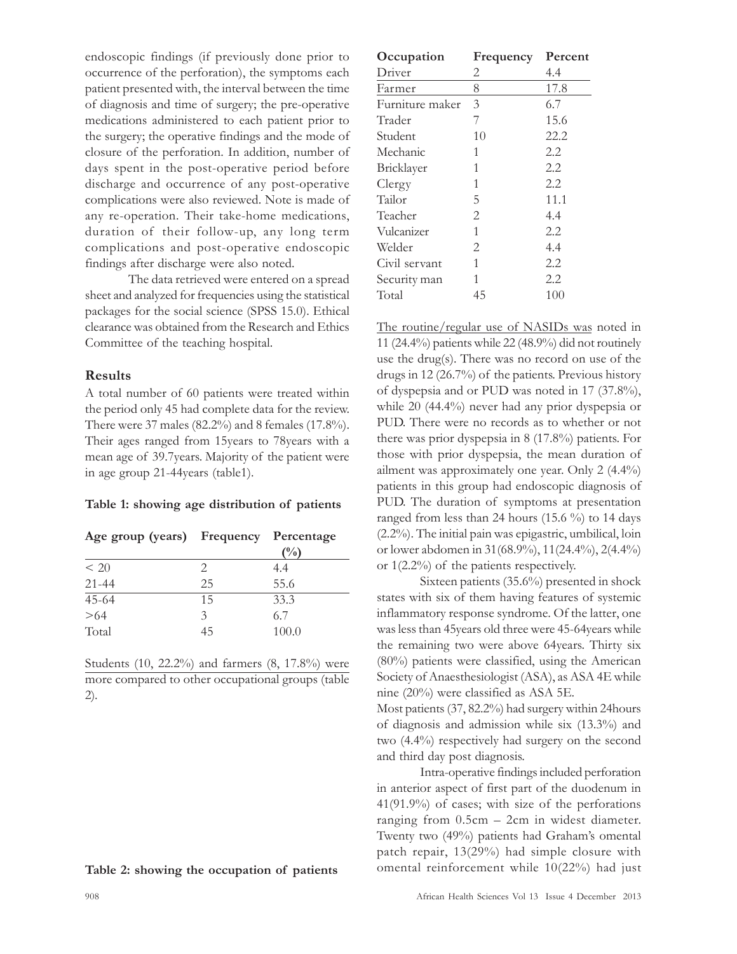endoscopic findings (if previously done prior to occurrence of the perforation), the symptoms each patient presented with, the interval between the time of diagnosis and time of surgery; the pre-operative medications administered to each patient prior to the surgery; the operative findings and the mode of closure of the perforation. In addition, number of days spent in the post-operative period before discharge and occurrence of any post-operative complications were also reviewed. Note is made of any re-operation. Their take-home medications, duration of their follow-up, any long term complications and post-operative endoscopic findings after discharge were also noted.

The data retrieved were entered on a spread sheet and analyzed for frequencies using the statistical packages for the social science (SPSS 15.0). Ethical clearance was obtained from the Research and Ethics Committee of the teaching hospital.

## Results

A total number of 60 patients were treated within the period only 45 had complete data for the review. There were 37 males (82.2%) and 8 females (17.8%). Their ages ranged from 15years to 78years with a mean age of 39.7years. Majority of the patient were in age group 21-44years (table1).

#### Table 1: showing age distribution of patients

| Age group (years) Frequency Percentage |    | (%)   |
|----------------------------------------|----|-------|
| < 20                                   | 2. | 4.4   |
| $21 - 44$                              | 25 | 55.6  |
| $45 - 64$                              | 15 | 33.3  |
| >64                                    | 3  | 6.7   |
| Total                                  | 45 | 100.0 |

Students (10, 22.2%) and farmers (8, 17.8%) were more compared to other occupational groups (table 2).

| Occupation      | Frequency      | Percent |
|-----------------|----------------|---------|
| Driver          | 2              | 4.4     |
| Farmer          | 8              | 17.8    |
| Furniture maker | 3              | 6.7     |
| Trader          | 7              | 15.6    |
| Student         | 10             | 22.2    |
| Mechanic        | 1              | 2.2     |
| Bricklayer      | 1              | 2.2     |
| Clergy          | 1              | 2.2     |
| Tailor          | 5              | 11.1    |
| Teacher         | $\overline{2}$ | 4.4     |
| Vulcanizer      | 1              | 2.2     |
| Welder          | $\mathbf{2}$   | 4.4     |
| Civil servant   | 1              | 2.2     |
| Security man    | 1              | 2.2     |
| Total           | 45             | 100     |
|                 |                |         |

The routine/regular use of NASIDs was noted in 11 (24.4%) patients while 22 (48.9%) did not routinely use the drug(s). There was no record on use of the drugs in 12 (26.7%) of the patients. Previous history of dyspepsia and or PUD was noted in 17 (37.8%), while 20 (44.4%) never had any prior dyspepsia or PUD. There were no records as to whether or not there was prior dyspepsia in 8 (17.8%) patients. For those with prior dyspepsia, the mean duration of ailment was approximately one year. Only 2 (4.4%) patients in this group had endoscopic diagnosis of PUD. The duration of symptoms at presentation ranged from less than 24 hours (15.6 %) to 14 days (2.2%). The initial pain was epigastric, umbilical, loin or lower abdomen in 31(68.9%), 11(24.4%), 2(4.4%) or 1(2.2%) of the patients respectively.

Sixteen patients (35.6%) presented in shock states with six of them having features of systemic inflammatory response syndrome. Of the latter, one was less than 45years old three were 45-64years while the remaining two were above 64years. Thirty six (80%) patients were classified, using the American Society of Anaesthesiologist (ASA), as ASA 4E while nine (20%) were classified as ASA 5E.

Most patients (37, 82.2%) had surgery within 24hours of diagnosis and admission while six (13.3%) and two (4.4%) respectively had surgery on the second and third day post diagnosis.

Intra-operative findings included perforation in anterior aspect of first part of the duodenum in 41(91.9%) of cases; with size of the perforations ranging from 0.5cm – 2cm in widest diameter. Twenty two (49%) patients had Graham's omental patch repair, 13(29%) had simple closure with omental reinforcement while 10(22%) had just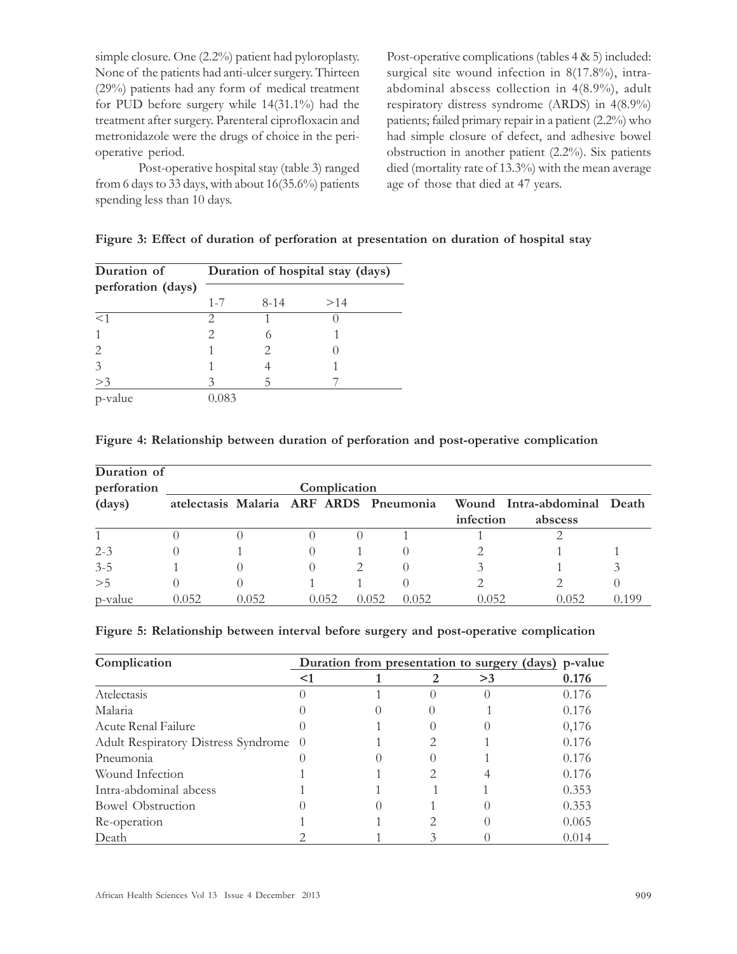simple closure. One (2.2%) patient had pyloroplasty. None of the patients had anti-ulcer surgery. Thirteen (29%) patients had any form of medical treatment for PUD before surgery while 14(31.1%) had the treatment after surgery. Parenteral ciprofloxacin and metronidazole were the drugs of choice in the perioperative period.

Post-operative hospital stay (table 3) ranged from 6 days to 33 days, with about 16(35.6%) patients spending less than 10 days.

Post-operative complications (tables 4 & 5) included: surgical site wound infection in 8(17.8%), intraabdominal abscess collection in 4(8.9%), adult respiratory distress syndrome (ARDS) in 4(8.9%) patients; failed primary repair in a patient (2.2%) who had simple closure of defect, and adhesive bowel obstruction in another patient (2.2%). Six patients died (mortality rate of 13.3%) with the mean average age of those that died at 47 years.

| Duration of        | Duration of hospital stay (days) |          |     |  |  |
|--------------------|----------------------------------|----------|-----|--|--|
| perforation (days) |                                  |          |     |  |  |
|                    | $1 - 7$                          | $8 - 14$ | >14 |  |  |
| <1                 | っ                                |          |     |  |  |
|                    |                                  | 6        |     |  |  |
|                    |                                  | 2        |     |  |  |
|                    |                                  |          |     |  |  |
| >3                 | 2                                | 5        |     |  |  |
| p-value            |                                  |          |     |  |  |

|  | Figure 3: Effect of duration of perforation at presentation on duration of hospital stay |  |
|--|------------------------------------------------------------------------------------------|--|
|  |                                                                                          |  |

#### Figure 4: Relationship between duration of perforation and post-operative complication

| Duration of<br>perforation |                                                                       | Complication |       |       |       |           |         |               |
|----------------------------|-----------------------------------------------------------------------|--------------|-------|-------|-------|-----------|---------|---------------|
| (days)                     | atelectasis Malaria ARF ARDS Pneumonia<br>Wound Intra-abdominal Death |              |       |       |       |           |         |               |
|                            |                                                                       |              |       |       |       | infection | abscess |               |
|                            |                                                                       |              |       |       |       |           |         |               |
| $2 - 3$                    |                                                                       |              |       |       |       |           |         |               |
| $3 - 5$                    |                                                                       |              |       |       |       |           |         | $\mathcal{Z}$ |
| >5                         |                                                                       |              |       |       |       |           |         |               |
| p-value                    | 0.052                                                                 | 0.052        | 0.052 | 0.052 | 0.052 | 0.052     | 0.052   | 0.199         |

#### Figure 5: Relationship between interval before surgery and post-operative complication

| Complication                          |    | Duration from presentation to surgery (days) p-value |  |    |       |
|---------------------------------------|----|------------------------------------------------------|--|----|-------|
|                                       | <1 |                                                      |  | >3 | 0.176 |
| Atelectasis                           |    |                                                      |  |    | 0.176 |
| Malaria                               |    |                                                      |  |    | 0.176 |
| Acute Renal Failure                   |    |                                                      |  |    | 0,176 |
| Adult Respiratory Distress Syndrome 0 |    |                                                      |  |    | 0.176 |
| Pneumonia                             |    |                                                      |  |    | 0.176 |
| Wound Infection                       |    |                                                      |  |    | 0.176 |
| Intra-abdominal abcess                |    |                                                      |  |    | 0.353 |
| <b>Bowel Obstruction</b>              |    |                                                      |  |    | 0.353 |
| Re-operation                          |    |                                                      |  |    | 0.065 |
| Death                                 |    |                                                      |  |    | 0.014 |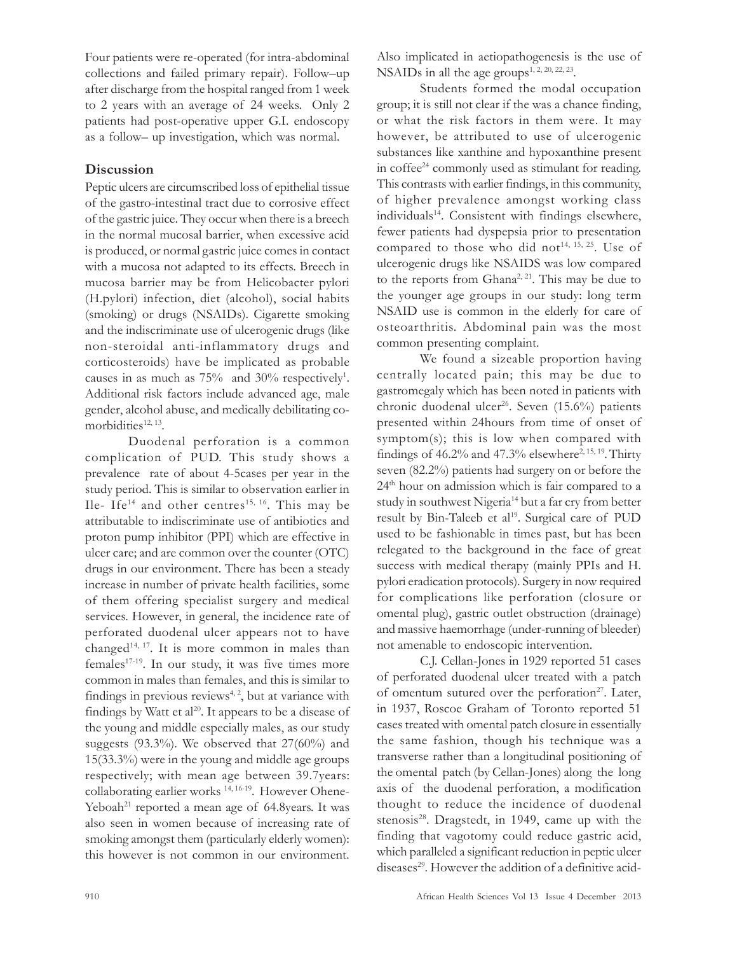Four patients were re-operated (for intra-abdominal collections and failed primary repair). Follow–up after discharge from the hospital ranged from 1 week to 2 years with an average of 24 weeks. Only 2 patients had post-operative upper G.I. endoscopy as a follow– up investigation, which was normal.

# **Discussion**

Peptic ulcers are circumscribed loss of epithelial tissue of the gastro-intestinal tract due to corrosive effect of the gastric juice. They occur when there is a breech in the normal mucosal barrier, when excessive acid is produced, or normal gastric juice comes in contact with a mucosa not adapted to its effects. Breech in mucosa barrier may be from Helicobacter pylori (H.pylori) infection, diet (alcohol), social habits (smoking) or drugs (NSAIDs). Cigarette smoking and the indiscriminate use of ulcerogenic drugs (like non-steroidal anti-inflammatory drugs and corticosteroids) have be implicated as probable causes in as much as  $75%$  and  $30%$  respectively<sup>1</sup>. Additional risk factors include advanced age, male gender, alcohol abuse, and medically debilitating comorbidities<sup>12, 13</sup>.

Duodenal perforation is a common complication of PUD. This study shows a prevalence rate of about 4-5cases per year in the study period. This is similar to observation earlier in Ile- Ife<sup>14</sup> and other centres<sup>15, 16</sup>. This may be attributable to indiscriminate use of antibiotics and proton pump inhibitor (PPI) which are effective in ulcer care; and are common over the counter (OTC) drugs in our environment. There has been a steady increase in number of private health facilities, some of them offering specialist surgery and medical services. However, in general, the incidence rate of perforated duodenal ulcer appears not to have changed<sup>14, 17</sup>. It is more common in males than females<sup>17-19</sup>. In our study, it was five times more common in males than females, and this is similar to findings in previous reviews $4, 2$ , but at variance with findings by Watt et al<sup>20</sup>. It appears to be a disease of the young and middle especially males, as our study suggests (93.3%). We observed that 27(60%) and 15(33.3%) were in the young and middle age groups respectively; with mean age between 39.7years: collaborating earlier works<sup>14, 16-19</sup>. However Ohene-Yeboah<sup>21</sup> reported a mean age of  $64.8$ years. It was also seen in women because of increasing rate of smoking amongst them (particularly elderly women): this however is not common in our environment.

Also implicated in aetiopathogenesis is the use of NSAIDs in all the age groups<sup>1, 2, 20, 22, 23</sup>.

Students formed the modal occupation group; it is still not clear if the was a chance finding, or what the risk factors in them were. It may however, be attributed to use of ulcerogenic substances like xanthine and hypoxanthine present in coffee<sup>24</sup> commonly used as stimulant for reading. This contrasts with earlier findings, in this community, of higher prevalence amongst working class individuals<sup>14</sup>. Consistent with findings elsewhere, fewer patients had dyspepsia prior to presentation compared to those who did not<sup>14, 15, 25</sup>. Use of ulcerogenic drugs like NSAIDS was low compared to the reports from Ghana<sup>2, 21</sup>. This may be due to the younger age groups in our study: long term NSAID use is common in the elderly for care of osteoarthritis. Abdominal pain was the most common presenting complaint.

We found a sizeable proportion having centrally located pain; this may be due to gastromegaly which has been noted in patients with chronic duodenal ulcer<sup>26</sup>. Seven (15.6%) patients presented within 24hours from time of onset of symptom(s); this is low when compared with findings of  $46.2\%$  and  $47.3\%$  elsewhere<sup>2, 15, 19</sup>. Thirty seven (82.2%) patients had surgery on or before the 24<sup>th</sup> hour on admission which is fair compared to a study in southwest Nigeria<sup>14</sup> but a far cry from better result by Bin-Taleeb et al<sup>19</sup>. Surgical care of PUD used to be fashionable in times past, but has been relegated to the background in the face of great success with medical therapy (mainly PPIs and H. pylori eradication protocols). Surgery in now required for complications like perforation (closure or omental plug), gastric outlet obstruction (drainage) and massive haemorrhage (under-running of bleeder) not amenable to endoscopic intervention.

C.J. Cellan-Jones in 1929 reported 51 cases of perforated duodenal ulcer treated with a patch of omentum sutured over the perforation<sup>27</sup>. Later, in 1937, Roscoe Graham of Toronto reported 51 cases treated with omental patch closure in essentially the same fashion, though his technique was a transverse rather than a longitudinal positioning of the omental patch (by Cellan-Jones) along the long axis of the duodenal perforation, a modification thought to reduce the incidence of duodenal stenosis<sup>28</sup>. Dragstedt, in 1949, came up with the finding that vagotomy could reduce gastric acid, which paralleled a significant reduction in peptic ulcer diseases<sup>29</sup>. However the addition of a definitive acid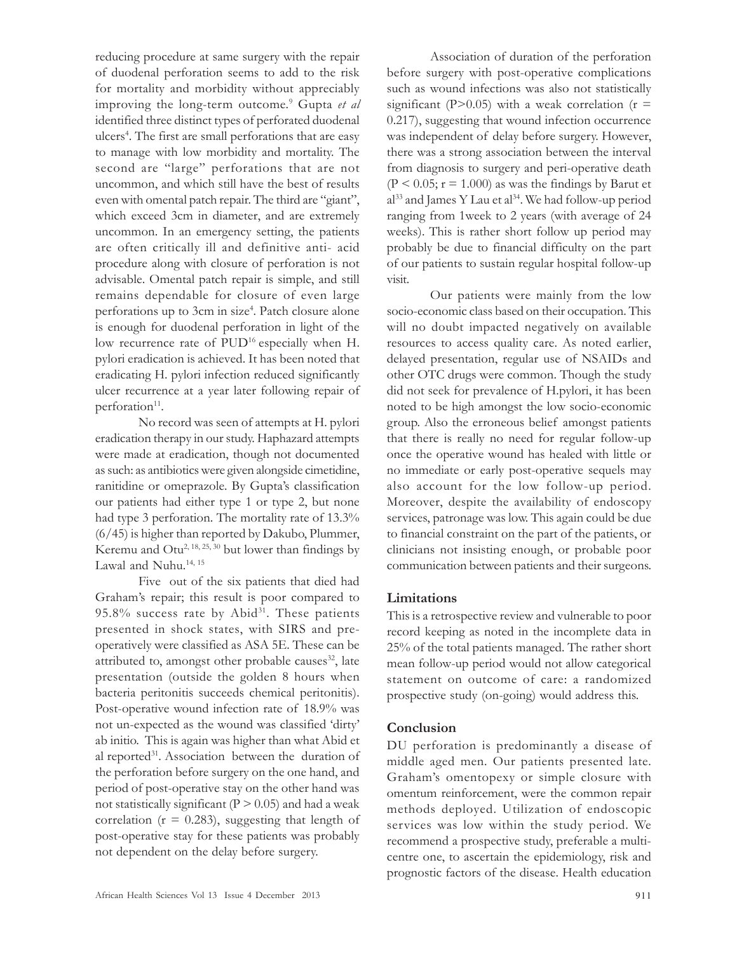reducing procedure at same surgery with the repair of duodenal perforation seems to add to the risk for mortality and morbidity without appreciably improving the long-term outcome.<sup>9</sup> Gupta et al identified three distinct types of perforated duodenal ulcers<sup>4</sup>. The first are small perforations that are easy to manage with low morbidity and mortality. The second are "large" perforations that are not uncommon, and which still have the best of results even with omental patch repair. The third are "giant", which exceed 3cm in diameter, and are extremely uncommon. In an emergency setting, the patients are often critically ill and definitive anti- acid procedure along with closure of perforation is not advisable. Omental patch repair is simple, and still remains dependable for closure of even large perforations up to 3cm in size<sup>4</sup>. Patch closure alone is enough for duodenal perforation in light of the low recurrence rate of PUD<sup>16</sup> especially when H. pylori eradication is achieved. It has been noted that eradicating H. pylori infection reduced significantly ulcer recurrence at a year later following repair of perforation<sup>11</sup>.

No record was seen of attempts at H. pylori eradication therapy in our study. Haphazard attempts were made at eradication, though not documented as such: as antibiotics were given alongside cimetidine, ranitidine or omeprazole. By Gupta's classification our patients had either type 1 or type 2, but none had type 3 perforation. The mortality rate of 13.3% (6/45) is higher than reported by Dakubo, Plummer, Keremu and  $Out^{2, 18, 25, 30}$  but lower than findings by Lawal and Nuhu.<sup>14, 15</sup>

Five out of the six patients that died had Graham's repair; this result is poor compared to  $95.8\%$  success rate by Abid<sup>31</sup>. These patients presented in shock states, with SIRS and preoperatively were classified as ASA 5E. These can be attributed to, amongst other probable causes<sup>32</sup>, late presentation (outside the golden 8 hours when bacteria peritonitis succeeds chemical peritonitis). Post-operative wound infection rate of 18.9% was not un-expected as the wound was classified 'dirty' ab initio. This is again was higher than what Abid et al reported<sup>31</sup>. Association between the duration of the perforation before surgery on the one hand, and period of post-operative stay on the other hand was not statistically significant ( $P > 0.05$ ) and had a weak correlation ( $r = 0.283$ ), suggesting that length of post-operative stay for these patients was probably not dependent on the delay before surgery.

Association of duration of the perforation before surgery with post-operative complications such as wound infections was also not statistically significant (P>0.05) with a weak correlation ( $r =$ 0.217), suggesting that wound infection occurrence was independent of delay before surgery. However, there was a strong association between the interval from diagnosis to surgery and peri-operative death  $(P < 0.05; r = 1.000)$  as was the findings by Barut et  $a^{33}$  and James Y Lau et  $a^{34}$ . We had follow-up period ranging from 1week to 2 years (with average of 24 weeks). This is rather short follow up period may probably be due to financial difficulty on the part of our patients to sustain regular hospital follow-up visit.

Our patients were mainly from the low socio-economic class based on their occupation. This will no doubt impacted negatively on available resources to access quality care. As noted earlier, delayed presentation, regular use of NSAIDs and other OTC drugs were common. Though the study did not seek for prevalence of H.pylori, it has been noted to be high amongst the low socio-economic group. Also the erroneous belief amongst patients that there is really no need for regular follow-up once the operative wound has healed with little or no immediate or early post-operative sequels may also account for the low follow-up period. Moreover, despite the availability of endoscopy services, patronage was low. This again could be due to financial constraint on the part of the patients, or clinicians not insisting enough, or probable poor communication between patients and their surgeons.

# Limitations

This is a retrospective review and vulnerable to poor record keeping as noted in the incomplete data in 25% of the total patients managed. The rather short mean follow-up period would not allow categorical statement on outcome of care: a randomized prospective study (on-going) would address this.

# **Conclusion**

DU perforation is predominantly a disease of middle aged men. Our patients presented late. Graham's omentopexy or simple closure with omentum reinforcement, were the common repair methods deployed. Utilization of endoscopic services was low within the study period. We recommend a prospective study, preferable a multicentre one, to ascertain the epidemiology, risk and prognostic factors of the disease. Health education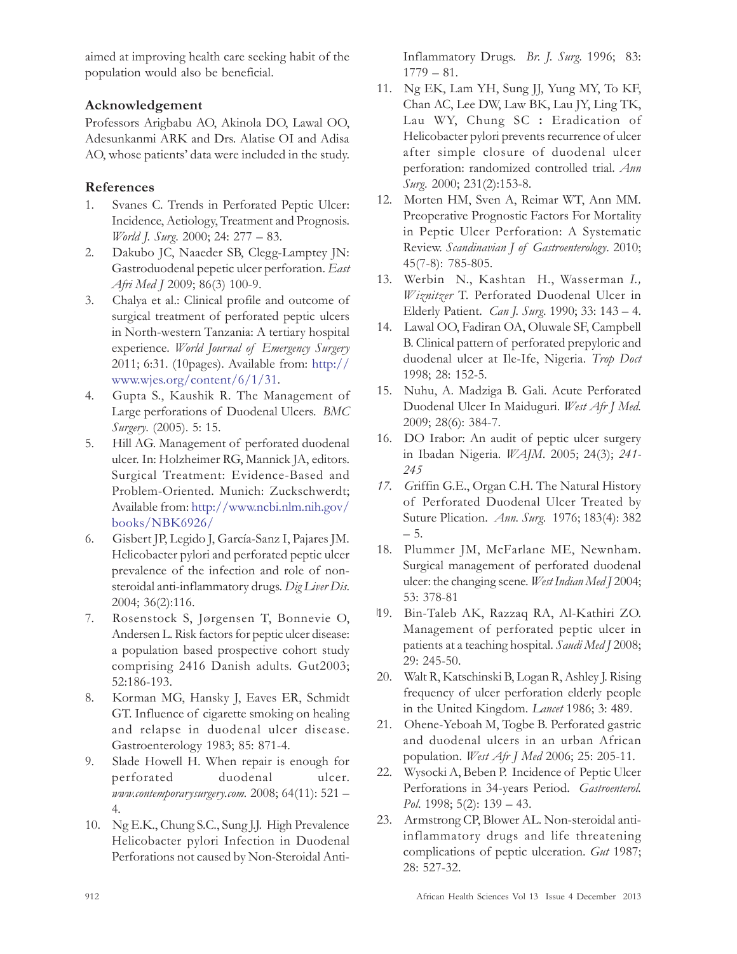aimed at improving health care seeking habit of the population would also be beneficial.

# Acknowledgement

Professors Arigbabu AO, Akinola DO, Lawal OO, Adesunkanmi ARK and Drs. Alatise OI and Adisa AO, whose patients' data were included in the study.

# References

- 1. Svanes C. Trends in Perforated Peptic Ulcer: Incidence, Aetiology, Treatment and Prognosis. World J. Surg. 2000; 24: 277 – 83.
- 2. Dakubo JC, Naaeder SB, Clegg-Lamptey JN: Gastroduodenal pepetic ulcer perforation. East Afri Med J 2009; 86(3) 100-9.
- 3. Chalya et al.: Clinical profile and outcome of surgical treatment of perforated peptic ulcers in North-western Tanzania: A tertiary hospital experience. World Journal of Emergency Surgery 2011; 6:31. (10pages). Available from: http:// www.wjes.org/content/6/1/31.
- 4. Gupta S., Kaushik R. The Management of Large perforations of Duodenal Ulcers. BMC Surgery. (2005). 5: 15.
- 5. Hill AG. Management of perforated duodenal ulcer. In: Holzheimer RG, Mannick JA, editors. Surgical Treatment: Evidence-Based and Problem-Oriented. Munich: Zuckschwerdt; Available from: http://www.ncbi.nlm.nih.gov/ books/NBK6926/
- 6. Gisbert JP, Legido J, García-Sanz I, Pajares JM. Helicobacter pylori and perforated peptic ulcer prevalence of the infection and role of nonsteroidal anti-inflammatory drugs. Dig Liver Dis. 2004; 36(2):116.
- 7. Rosenstock S, Jørgensen T, Bonnevie O, Andersen L. Risk factors for peptic ulcer disease: a population based prospective cohort study comprising 2416 Danish adults. Gut2003; 52:186-193.
- 8. Korman MG, Hansky J, Eaves ER, Schmidt GT. Influence of cigarette smoking on healing and relapse in duodenal ulcer disease. Gastroenterology 1983; 85: 871-4.
- 9. Slade Howell H. When repair is enough for perforated duodenal ulcer. www.contemporarysurgery.com. 2008; 64(11): 521 – 4.
- 10. Ng E.K., Chung S.C., Sung J.J. High Prevalence Helicobacter pylori Infection in Duodenal Perforations not caused by Non-Steroidal Anti-

Inflammatory Drugs. Br. J. Surg. 1996; 83: 1779 – 81.

- 11. Ng EK, Lam YH, Sung JJ, Yung MY, To KF, Chan AC, Lee DW, Law BK, Lau JY, Ling TK, Lau WY, Chung SC : Eradication of Helicobacter pylori prevents recurrence of ulcer after simple closure of duodenal ulcer perforation: randomized controlled trial. Ann Surg. 2000; 231(2):153-8.
- 12. Morten HM, Sven A, Reimar WT, Ann MM. Preoperative Prognostic Factors For Mortality in Peptic Ulcer Perforation: A Systematic Review. Scandinavian J of Gastroenterology. 2010; 45(7-8): 785-805.
- 13. Werbin N., Kashtan H., Wasserman I., Wiznitzer T. Perforated Duodenal Ulcer in Elderly Patient. Can J. Surg. 1990; 33: 143 – 4.
- 14. Lawal OO, Fadiran OA, Oluwale SF, Campbell B. Clinical pattern of perforated prepyloric and duodenal ulcer at Ile-Ife, Nigeria. Trop Doct 1998; 28: 152-5.
- 15. Nuhu, A. Madziga B. Gali. Acute Perforated Duodenal Ulcer In Maiduguri. West Afr J Med. 2009; 28(6): 384-7.
- 16. DO Irabor: An audit of peptic ulcer surgery in Ibadan Nigeria. WAJM. 2005; 24(3); 241- 245
- 17. Griffin G.E., Organ C.H. The Natural History of Perforated Duodenal Ulcer Treated by Suture Plication. Ann. Surg. 1976; 183(4): 382 – 5.
- 18. Plummer JM, McFarlane ME, Newnham. Surgical management of perforated duodenal ulcer: the changing scene. West Indian Med J 2004; 53: 378-81
- 19. Bin-Taleb AK, Razzaq RA, Al-Kathiri ZO. Management of perforated peptic ulcer in patients at a teaching hospital. Saudi Med J 2008; 29: 245-50.
- 20. Walt R, Katschinski B, Logan R, Ashley J. Rising frequency of ulcer perforation elderly people in the United Kingdom. Lancet 1986; 3: 489.
- 21. Ohene-Yeboah M, Togbe B. Perforated gastric and duodenal ulcers in an urban African population. West Afr J Med 2006; 25: 205-11.
- 22. Wysocki A, Beben P. Incidence of Peptic Ulcer Perforations in 34-years Period. Gastroenterol. Pol. 1998; 5(2): 139 – 43.
- 23. Armstrong CP, Blower AL. Non-steroidal antiinflammatory drugs and life threatening complications of peptic ulceration. Gut 1987; 28: 527-32.